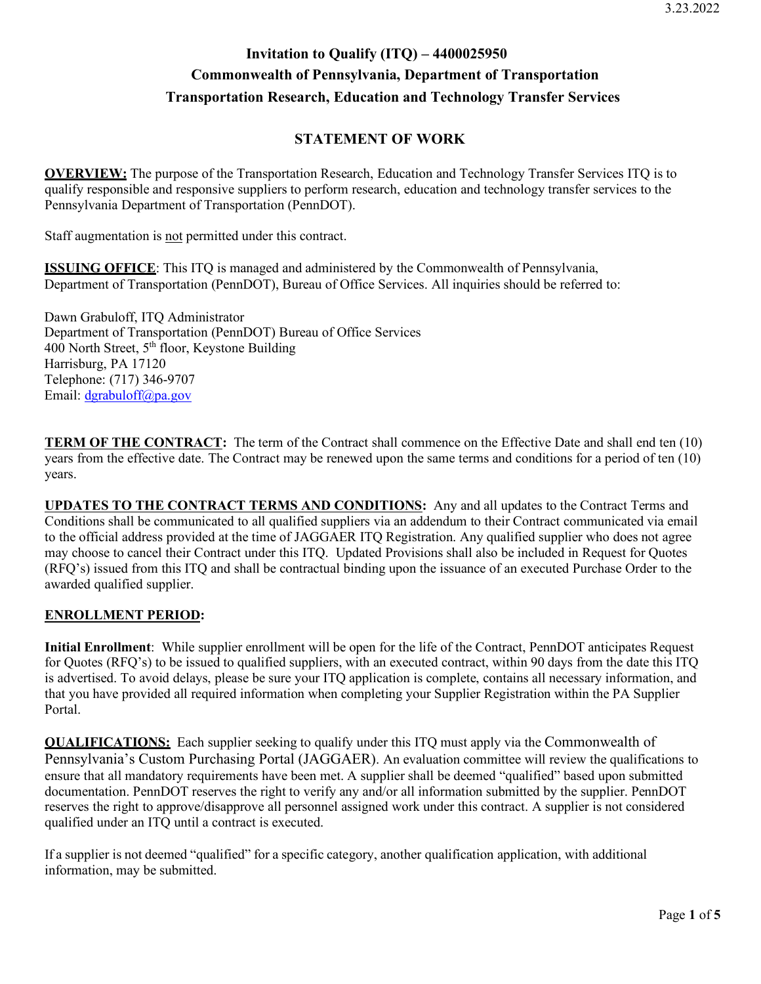## **Invitation to Qualify (ITQ) – 4400025950 Commonwealth of Pennsylvania, Department of Transportation Transportation Research, Education and Technology Transfer Services**

## **STATEMENT OF WORK**

**OVERVIEW:** The purpose of the Transportation Research, Education and Technology Transfer Services ITQ is to qualify responsible and responsive suppliers to perform research, education and technology transfer services to the Pennsylvania Department of Transportation (PennDOT).

Staff augmentation is not permitted under this contract.

**ISSUING OFFICE**: This ITQ is managed and administered by the Commonwealth of Pennsylvania, Department of Transportation (PennDOT), Bureau of Office Services. All inquiries should be referred to:

Dawn Grabuloff, ITQ Administrator Department of Transportation (PennDOT) Bureau of Office Services 400 North Street, 5th floor, Keystone Building Harrisburg, PA 17120 Telephone: (717) 346-9707 Email: [dgrabuloff@pa.gov](mailto:dgrabuloff@pa.gov)

**TERM OF THE CONTRACT:** The term of the Contract shall commence on the Effective Date and shall end ten (10) years from the effective date. The Contract may be renewed upon the same terms and conditions for a period of ten (10) years.

**UPDATES TO THE CONTRACT TERMS AND CONDITIONS:** Any and all updates to the Contract Terms and Conditions shall be communicated to all qualified suppliers via an addendum to their Contract communicated via email to the official address provided at the time of JAGGAER ITQ Registration. Any qualified supplier who does not agree may choose to cancel their Contract under this ITQ. Updated Provisions shall also be included in Request for Quotes (RFQ's) issued from this ITQ and shall be contractual binding upon the issuance of an executed Purchase Order to the awarded qualified supplier.

## **ENROLLMENT PERIOD:**

**Initial Enrollment**: While supplier enrollment will be open for the life of the Contract, PennDOT anticipates Request for Quotes (RFQ's) to be issued to qualified suppliers, with an executed contract, within 90 days from the date this ITQ is advertised. To avoid delays, please be sure your ITQ application is complete, contains all necessary information, and that you have provided all required information when completing your Supplier Registration within the PA Supplier Portal.

**QUALIFICATIONS:** Each supplier seeking to qualify under this ITQ must apply via the Commonwealth of Pennsylvania's Custom Purchasing Portal (JAGGAER). An evaluation committee will review the qualifications to ensure that all mandatory requirements have been met. A supplier shall be deemed "qualified" based upon submitted documentation. PennDOT reserves the right to verify any and/or all information submitted by the supplier. PennDOT reserves the right to approve/disapprove all personnel assigned work under this contract. A supplier is not considered qualified under an ITQ until a contract is executed.

If a supplier is not deemed "qualified" for a specific category, another qualification application, with additional information, may be submitted.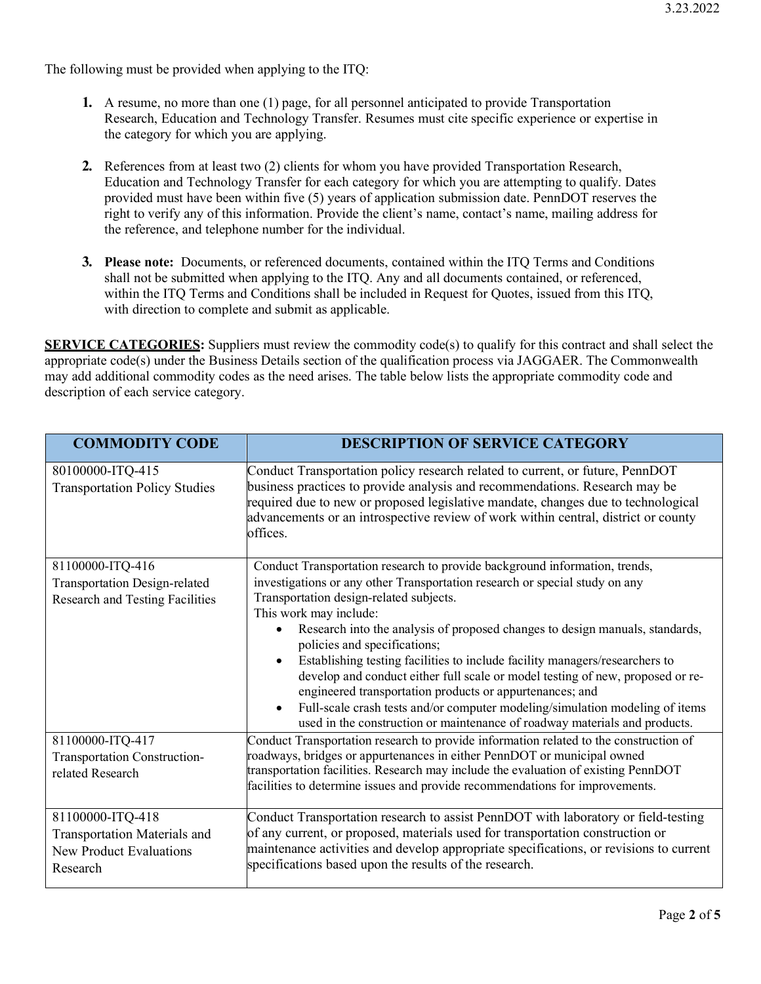The following must be provided when applying to the ITQ:

- **1.** A resume, no more than one (1) page, for all personnel anticipated to provide Transportation Research, Education and Technology Transfer. Resumes must cite specific experience or expertise in the category for which you are applying.
- **2.** References from at least two (2) clients for whom you have provided Transportation Research, Education and Technology Transfer for each category for which you are attempting to qualify. Dates provided must have been within five (5) years of application submission date. PennDOT reserves the right to verify any of this information. Provide the client's name, contact's name, mailing address for the reference, and telephone number for the individual.
- **3. Please note:** Documents, or referenced documents, contained within the ITQ Terms and Conditions shall not be submitted when applying to the ITQ. Any and all documents contained, or referenced, within the ITQ Terms and Conditions shall be included in Request for Quotes, issued from this ITQ, with direction to complete and submit as applicable.

**SERVICE CATEGORIES:** Suppliers must review the commodity code(s) to qualify for this contract and shall select the appropriate code(s) under the Business Details section of the qualification process via JAGGAER. The Commonwealth may add additional commodity codes as the need arises. The table below lists the appropriate commodity code and description of each service category.

| <b>COMMODITY CODE</b>                                                                          | <b>DESCRIPTION OF SERVICE CATEGORY</b>                                                                                                                                                                                                                                                                                                                                                                                                                                                                                                                                                                                                                                                                                                    |
|------------------------------------------------------------------------------------------------|-------------------------------------------------------------------------------------------------------------------------------------------------------------------------------------------------------------------------------------------------------------------------------------------------------------------------------------------------------------------------------------------------------------------------------------------------------------------------------------------------------------------------------------------------------------------------------------------------------------------------------------------------------------------------------------------------------------------------------------------|
| 80100000-ITQ-415<br><b>Transportation Policy Studies</b>                                       | Conduct Transportation policy research related to current, or future, PennDOT<br>business practices to provide analysis and recommendations. Research may be<br>required due to new or proposed legislative mandate, changes due to technological<br>advancements or an introspective review of work within central, district or county<br>offices.                                                                                                                                                                                                                                                                                                                                                                                       |
| 81100000-ITQ-416<br>Transportation Design-related<br>Research and Testing Facilities           | Conduct Transportation research to provide background information, trends,<br>investigations or any other Transportation research or special study on any<br>Transportation design-related subjects.<br>This work may include:<br>Research into the analysis of proposed changes to design manuals, standards,<br>policies and specifications;<br>Establishing testing facilities to include facility managers/researchers to<br>develop and conduct either full scale or model testing of new, proposed or re-<br>engineered transportation products or appurtenances; and<br>Full-scale crash tests and/or computer modeling/simulation modeling of items<br>used in the construction or maintenance of roadway materials and products. |
| 81100000-ITQ-417<br>Transportation Construction-<br>related Research                           | Conduct Transportation research to provide information related to the construction of<br>roadways, bridges or appurtenances in either PennDOT or municipal owned<br>transportation facilities. Research may include the evaluation of existing PennDOT<br>facilities to determine issues and provide recommendations for improvements.                                                                                                                                                                                                                                                                                                                                                                                                    |
| 81100000-ITQ-418<br>Transportation Materials and<br><b>New Product Evaluations</b><br>Research | Conduct Transportation research to assist PennDOT with laboratory or field-testing<br>of any current, or proposed, materials used for transportation construction or<br>maintenance activities and develop appropriate specifications, or revisions to current<br>specifications based upon the results of the research.                                                                                                                                                                                                                                                                                                                                                                                                                  |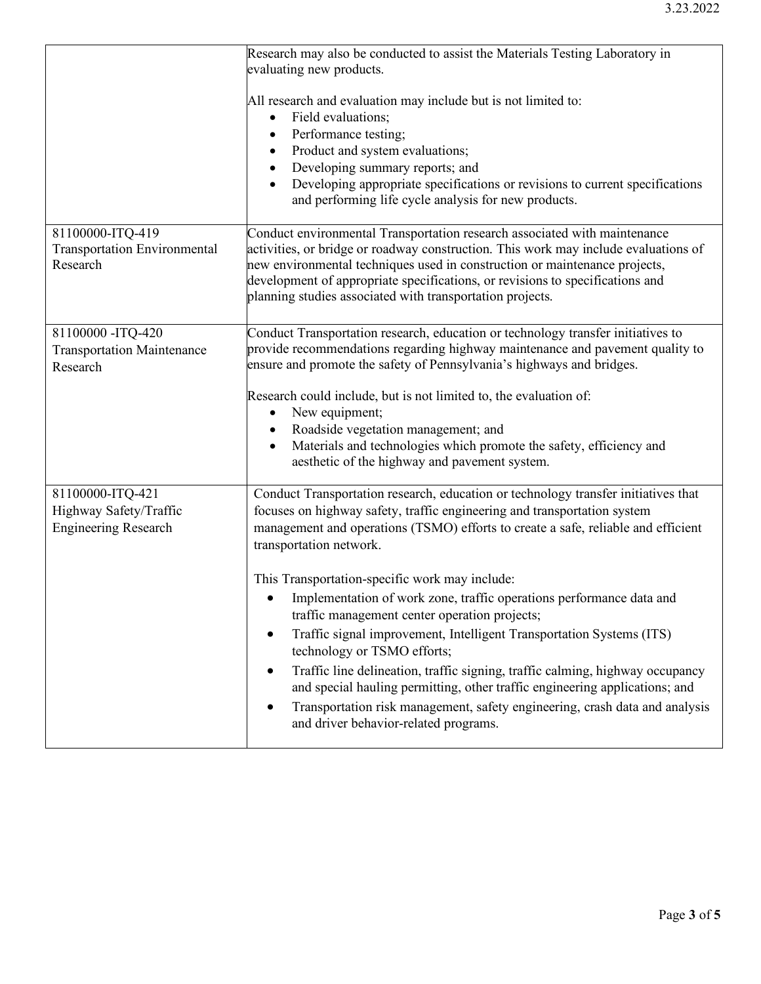|                                                                           | Research may also be conducted to assist the Materials Testing Laboratory in<br>evaluating new products.                                                                                                                                                                                                                                                                                                                                                                                                                                                                                                                                                                                                                                                                                                                                                              |
|---------------------------------------------------------------------------|-----------------------------------------------------------------------------------------------------------------------------------------------------------------------------------------------------------------------------------------------------------------------------------------------------------------------------------------------------------------------------------------------------------------------------------------------------------------------------------------------------------------------------------------------------------------------------------------------------------------------------------------------------------------------------------------------------------------------------------------------------------------------------------------------------------------------------------------------------------------------|
|                                                                           | All research and evaluation may include but is not limited to:<br>Field evaluations;<br>$\bullet$<br>Performance testing;<br>$\bullet$<br>Product and system evaluations;<br>Developing summary reports; and<br>$\bullet$<br>Developing appropriate specifications or revisions to current specifications<br>and performing life cycle analysis for new products.                                                                                                                                                                                                                                                                                                                                                                                                                                                                                                     |
| 81100000-ITQ-419<br><b>Transportation Environmental</b><br>Research       | Conduct environmental Transportation research associated with maintenance<br>activities, or bridge or roadway construction. This work may include evaluations of<br>new environmental techniques used in construction or maintenance projects,<br>development of appropriate specifications, or revisions to specifications and<br>planning studies associated with transportation projects.                                                                                                                                                                                                                                                                                                                                                                                                                                                                          |
| 81100000 - ITQ-420<br><b>Transportation Maintenance</b><br>Research       | Conduct Transportation research, education or technology transfer initiatives to<br>provide recommendations regarding highway maintenance and pavement quality to<br>ensure and promote the safety of Pennsylvania's highways and bridges.<br>Research could include, but is not limited to, the evaluation of:<br>New equipment;<br>$\bullet$<br>Roadside vegetation management; and<br>$\bullet$<br>Materials and technologies which promote the safety, efficiency and<br>aesthetic of the highway and pavement system.                                                                                                                                                                                                                                                                                                                                            |
| 81100000-ITQ-421<br>Highway Safety/Traffic<br><b>Engineering Research</b> | Conduct Transportation research, education or technology transfer initiatives that<br>focuses on highway safety, traffic engineering and transportation system<br>management and operations (TSMO) efforts to create a safe, reliable and efficient<br>transportation network.<br>This Transportation-specific work may include:<br>Implementation of work zone, traffic operations performance data and<br>traffic management center operation projects;<br>Traffic signal improvement, Intelligent Transportation Systems (ITS)<br>$\bullet$<br>technology or TSMO efforts;<br>Traffic line delineation, traffic signing, traffic calming, highway occupancy<br>and special hauling permitting, other traffic engineering applications; and<br>Transportation risk management, safety engineering, crash data and analysis<br>and driver behavior-related programs. |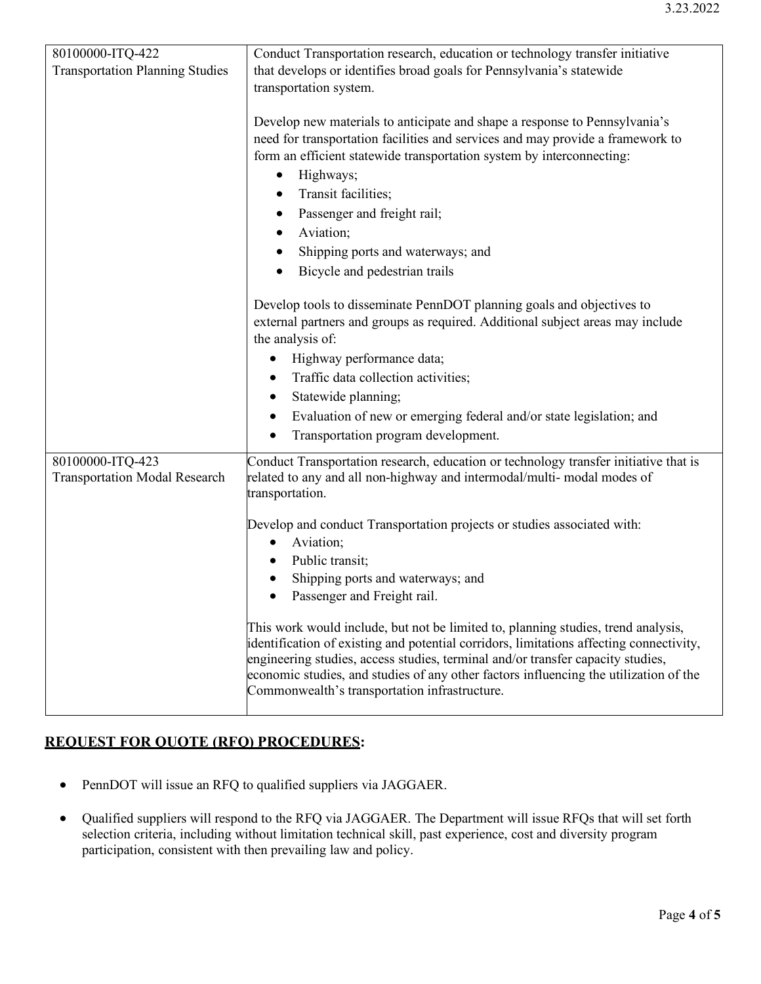| 80100000-ITQ-422                                         | Conduct Transportation research, education or technology transfer initiative                                                                                                                                                                                                                                                                                                                              |
|----------------------------------------------------------|-----------------------------------------------------------------------------------------------------------------------------------------------------------------------------------------------------------------------------------------------------------------------------------------------------------------------------------------------------------------------------------------------------------|
| <b>Transportation Planning Studies</b>                   | that develops or identifies broad goals for Pennsylvania's statewide                                                                                                                                                                                                                                                                                                                                      |
|                                                          | transportation system.                                                                                                                                                                                                                                                                                                                                                                                    |
|                                                          | Develop new materials to anticipate and shape a response to Pennsylvania's<br>need for transportation facilities and services and may provide a framework to<br>form an efficient statewide transportation system by interconnecting:<br>Highways;<br>$\bullet$<br>Transit facilities;<br>Passenger and freight rail;                                                                                     |
|                                                          | Aviation;                                                                                                                                                                                                                                                                                                                                                                                                 |
|                                                          |                                                                                                                                                                                                                                                                                                                                                                                                           |
|                                                          | Shipping ports and waterways; and<br>٠                                                                                                                                                                                                                                                                                                                                                                    |
|                                                          | Bicycle and pedestrian trails                                                                                                                                                                                                                                                                                                                                                                             |
|                                                          | Develop tools to disseminate PennDOT planning goals and objectives to<br>external partners and groups as required. Additional subject areas may include<br>the analysis of:                                                                                                                                                                                                                               |
|                                                          | Highway performance data;<br>$\bullet$                                                                                                                                                                                                                                                                                                                                                                    |
|                                                          | Traffic data collection activities;<br>$\bullet$                                                                                                                                                                                                                                                                                                                                                          |
|                                                          | Statewide planning;<br>٠                                                                                                                                                                                                                                                                                                                                                                                  |
|                                                          | Evaluation of new or emerging federal and/or state legislation; and<br>$\bullet$                                                                                                                                                                                                                                                                                                                          |
|                                                          | Transportation program development.<br>$\bullet$                                                                                                                                                                                                                                                                                                                                                          |
| 80100000-ITQ-423<br><b>Transportation Modal Research</b> | Conduct Transportation research, education or technology transfer initiative that is<br>related to any and all non-highway and intermodal/multi- modal modes of<br>transportation.                                                                                                                                                                                                                        |
|                                                          | Develop and conduct Transportation projects or studies associated with:                                                                                                                                                                                                                                                                                                                                   |
|                                                          | Aviation;<br>$\bullet$                                                                                                                                                                                                                                                                                                                                                                                    |
|                                                          | Public transit;                                                                                                                                                                                                                                                                                                                                                                                           |
|                                                          | Shipping ports and waterways; and                                                                                                                                                                                                                                                                                                                                                                         |
|                                                          | Passenger and Freight rail.                                                                                                                                                                                                                                                                                                                                                                               |
|                                                          | This work would include, but not be limited to, planning studies, trend analysis,<br>identification of existing and potential corridors, limitations affecting connectivity,<br>engineering studies, access studies, terminal and/or transfer capacity studies,<br>economic studies, and studies of any other factors influencing the utilization of the<br>Commonwealth's transportation infrastructure. |

## **REQUEST FOR QUOTE (RFQ) PROCEDURES:**

- PennDOT will issue an RFQ to qualified suppliers via JAGGAER.
- Qualified suppliers will respond to the RFQ via JAGGAER. The Department will issue RFQs that will set forth selection criteria, including without limitation technical skill, past experience, cost and diversity program participation, consistent with then prevailing law and policy.